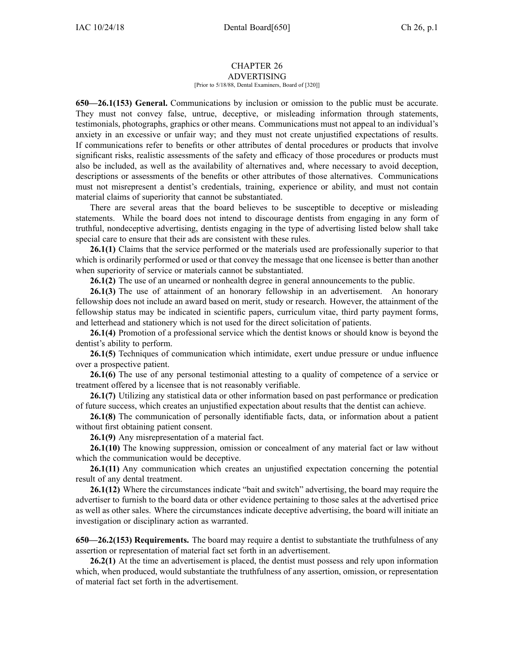## CHAPTER 26 ADVERTISING

[Prior to 5/18/88, Dental Examiners, Board of [320]]

**650—26.1(153) General.** Communications by inclusion or omission to the public must be accurate. They must not convey false, untrue, deceptive, or misleading information through statements, testimonials, photographs, graphics or other means. Communications must not appeal to an individual's anxiety in an excessive or unfair way; and they must not create unjustified expectations of results. If communications refer to benefits or other attributes of dental procedures or products that involve significant risks, realistic assessments of the safety and efficacy of those procedures or products must also be included, as well as the availability of alternatives and, where necessary to avoid deception, descriptions or assessments of the benefits or other attributes of those alternatives. Communications must not misrepresent <sup>a</sup> dentist's credentials, training, experience or ability, and must not contain material claims of superiority that cannot be substantiated.

There are several areas that the board believes to be susceptible to deceptive or misleading statements. While the board does not intend to discourage dentists from engaging in any form of truthful, nondeceptive advertising, dentists engaging in the type of advertising listed below shall take special care to ensure that their ads are consistent with these rules.

**26.1(1)** Claims that the service performed or the materials used are professionally superior to that which is ordinarily performed or used or that convey the message that one licensee is better than another when superiority of service or materials cannot be substantiated.

**26.1(2)** The use of an unearned or nonhealth degree in general announcements to the public.

**26.1(3)** The use of attainment of an honorary fellowship in an advertisement. An honorary fellowship does not include an award based on merit, study or research. However, the attainment of the fellowship status may be indicated in scientific papers, curriculum vitae, third party paymen<sup>t</sup> forms, and letterhead and stationery which is not used for the direct solicitation of patients.

**26.1(4)** Promotion of <sup>a</sup> professional service which the dentist knows or should know is beyond the dentist's ability to perform.

**26.1(5)** Techniques of communication which intimidate, exert undue pressure or undue influence over <sup>a</sup> prospective patient.

**26.1(6)** The use of any personal testimonial attesting to <sup>a</sup> quality of competence of <sup>a</sup> service or treatment offered by <sup>a</sup> licensee that is not reasonably verifiable.

**26.1(7)** Utilizing any statistical data or other information based on pas<sup>t</sup> performance or predication of future success, which creates an unjustified expectation about results that the dentist can achieve.

**26.1(8)** The communication of personally identifiable facts, data, or information about <sup>a</sup> patient without first obtaining patient consent.

**26.1(9)** Any misrepresentation of <sup>a</sup> material fact.

**26.1(10)** The knowing suppression, omission or concealment of any material fact or law without which the communication would be deceptive.

**26.1(11)** Any communication which creates an unjustified expectation concerning the potential result of any dental treatment.

**26.1(12)** Where the circumstances indicate "bait and switch" advertising, the board may require the advertiser to furnish to the board data or other evidence pertaining to those sales at the advertised price as well as other sales. Where the circumstances indicate deceptive advertising, the board will initiate an investigation or disciplinary action as warranted.

**650—26.2(153) Requirements.** The board may require <sup>a</sup> dentist to substantiate the truthfulness of any assertion or representation of material fact set forth in an advertisement.

**26.2(1)** At the time an advertisement is placed, the dentist must possess and rely upon information which, when produced, would substantiate the truthfulness of any assertion, omission, or representation of material fact set forth in the advertisement.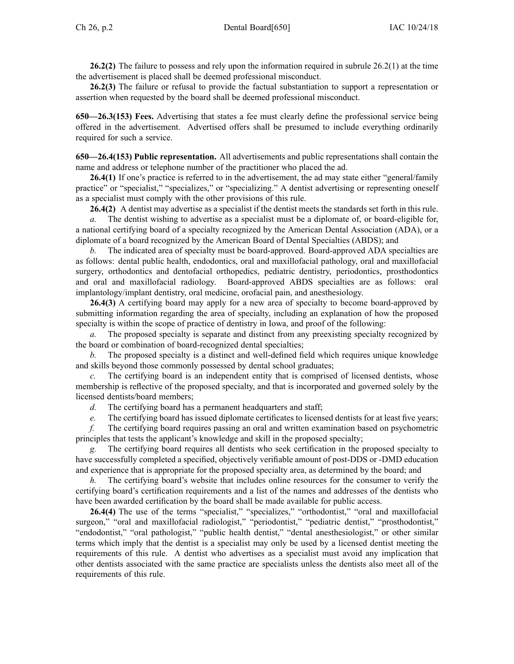**26.2(2)** The failure to possess and rely upon the information required in subrule [26.2\(1\)](https://www.legis.iowa.gov/docs/iac/rule/650.26.2.pdf) at the time the advertisement is placed shall be deemed professional misconduct.

**26.2(3)** The failure or refusal to provide the factual substantiation to suppor<sup>t</sup> <sup>a</sup> representation or assertion when requested by the board shall be deemed professional misconduct.

**650—26.3(153) Fees.** Advertising that states <sup>a</sup> fee must clearly define the professional service being offered in the advertisement. Advertised offers shall be presumed to include everything ordinarily required for such <sup>a</sup> service.

**650—26.4(153) Public representation.** All advertisements and public representations shall contain the name and address or telephone number of the practitioner who placed the ad.

**26.4(1)** If one's practice is referred to in the advertisement, the ad may state either "general/family practice" or "specialist," "specializes," or "specializing." A dentist advertising or representing oneself as <sup>a</sup> specialist must comply with the other provisions of this rule.

**26.4(2)** A dentist may advertise as <sup>a</sup> specialist if the dentist meets the standards set forth in this rule.

*a.* The dentist wishing to advertise as <sup>a</sup> specialist must be <sup>a</sup> diplomate of, or board-eligible for, <sup>a</sup> national certifying board of <sup>a</sup> specialty recognized by the American Dental Association (ADA), or <sup>a</sup> diplomate of <sup>a</sup> board recognized by the American Board of Dental Specialties (ABDS); and

*b.* The indicated area of specialty must be board-approved. Board-approved ADA specialties are as follows: dental public health, endodontics, oral and maxillofacial pathology, oral and maxillofacial surgery, orthodontics and dentofacial orthopedics, pediatric dentistry, periodontics, prosthodontics and oral and maxillofacial radiology. Board-approved ABDS specialties are as follows: oral implantology/implant dentistry, oral medicine, orofacial pain, and anesthesiology.

**26.4(3)** A certifying board may apply for <sup>a</sup> new area of specialty to become board-approved by submitting information regarding the area of specialty, including an explanation of how the proposed specialty is within the scope of practice of dentistry in Iowa, and proof of the following:

*a.* The proposed specialty is separate and distinct from any preexisting specialty recognized by the board or combination of board-recognized dental specialties;

*b.* The proposed specialty is <sup>a</sup> distinct and well-defined field which requires unique knowledge and skills beyond those commonly possessed by dental school graduates;

*c.* The certifying board is an independent entity that is comprised of licensed dentists, whose membership is reflective of the proposed specialty, and that is incorporated and governed solely by the licensed dentists/board members;

*d.* The certifying board has <sup>a</sup> permanen<sup>t</sup> headquarters and staff;

*e.* The certifying board has issued diplomate certificates to licensed dentists for at least five years;

*f.* The certifying board requires passing an oral and written examination based on psychometric principles that tests the applicant's knowledge and skill in the proposed specialty;

The certifying board requires all dentists who seek certification in the proposed specialty to have successfully completed <sup>a</sup> specified, objectively verifiable amount of post-DDS or -DMD education and experience that is appropriate for the proposed specialty area, as determined by the board; and

*h.* The certifying board's website that includes online resources for the consumer to verify the certifying board's certification requirements and <sup>a</sup> list of the names and addresses of the dentists who have been awarded certification by the board shall be made available for public access.

**26.4(4)** The use of the terms "specialist," "specializes," "orthodontist," "oral and maxillofacial surgeon," "oral and maxillofacial radiologist," "periodontist," "pediatric dentist," "prosthodontist," "endodontist," "oral pathologist," "public health dentist," "dental anesthesiologist," or other similar terms which imply that the dentist is <sup>a</sup> specialist may only be used by <sup>a</sup> licensed dentist meeting the requirements of this rule. A dentist who advertises as <sup>a</sup> specialist must avoid any implication that other dentists associated with the same practice are specialists unless the dentists also meet all of the requirements of this rule.